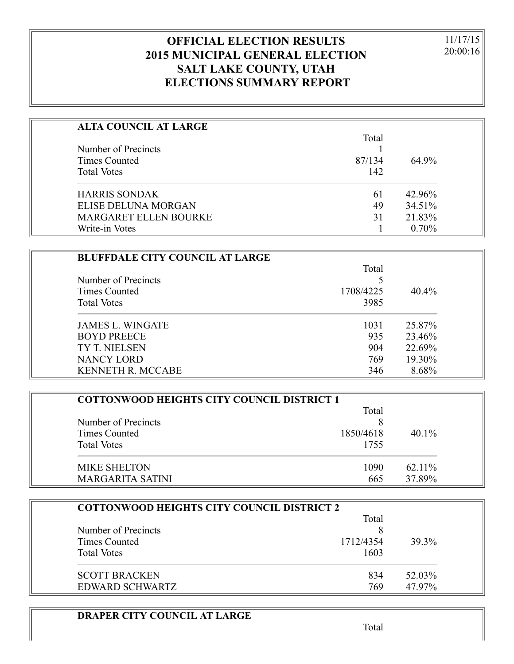## **OFFICIAL ELECTION RESULTS 2015 MUNICIPAL GENERAL ELECTION SALT LAKE COUNTY, UTAH ELECTIONS SUMMARY REPORT**

11/17/15 20:00:16

| <b>ALTA COUNCIL AT LARGE</b> |        |          |
|------------------------------|--------|----------|
|                              | Total  |          |
| Number of Precincts          |        |          |
| Times Counted                | 87/134 | 64.9%    |
| <b>Total Votes</b>           | 142    |          |
| <b>HARRIS SONDAK</b>         | 61     | 42.96%   |
| ELISE DELUNA MORGAN          | 49     | 34.51%   |
| <b>MARGARET ELLEN BOURKE</b> | 31     | 21.83%   |
| Write-in Votes               |        | $0.70\%$ |

| <b>BLUFFDALE CITY COUNCIL AT LARGE</b> |           |          |
|----------------------------------------|-----------|----------|
|                                        | Total     |          |
| Number of Precincts                    |           |          |
| Times Counted                          | 1708/4225 | $40.4\%$ |
| <b>Total Votes</b>                     | 3985      |          |
| <b>JAMES L. WINGATE</b>                | 1031      | 25.87%   |
| <b>BOYD PREECE</b>                     | 935       | 23.46%   |
| TY T. NIELSEN                          | 904       | 22.69%   |
| <b>NANCY LORD</b>                      | 769       | 19.30%   |
| <b>KENNETH R. MCCABE</b>               | 346       | 8.68%    |

| <b>COTTONWOOD HEIGHTS CITY COUNCIL DISTRICT 1</b> |           |          |
|---------------------------------------------------|-----------|----------|
|                                                   | Total     |          |
| Number of Precincts                               |           |          |
| Times Counted                                     | 1850/4618 | $40.1\%$ |
| <b>Total Votes</b>                                | 1755      |          |
| MIKE SHELTON                                      | 1090      | 62.11%   |
| MARGARITA SATINI                                  | 665       | 37.89%   |

| <b>COTTONWOOD HEIGHTS CITY COUNCIL DISTRICT 2</b> |           |        |
|---------------------------------------------------|-----------|--------|
|                                                   | Total     |        |
| Number of Precincts                               |           |        |
| Times Counted                                     | 1712/4354 | 39.3%  |
| <b>Total Votes</b>                                | 1603      |        |
| <b>SCOTT BRACKEN</b>                              | 834       | 52.03% |
| EDWARD SCHWARTZ                                   | 769       | 47.97% |

### **DRAPER CITY COUNCIL AT LARGE**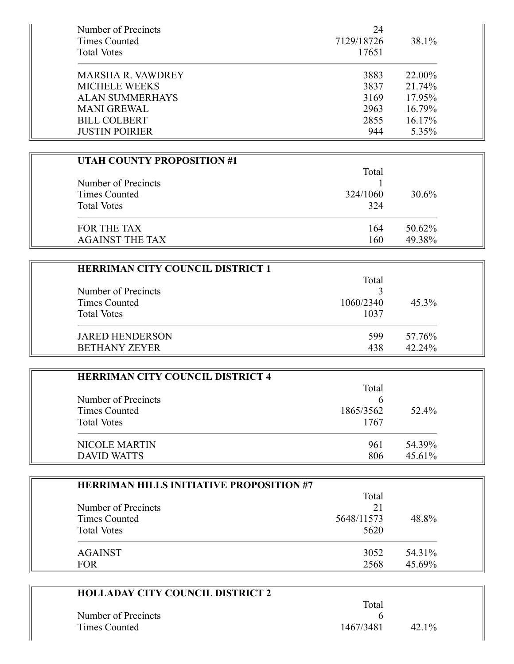| Number of Precincts<br>Times Counted | 24<br>7129/18726 | 38.1%  |
|--------------------------------------|------------------|--------|
| <b>Total Votes</b>                   | 17651            |        |
| <b>MARSHA R. VAWDREY</b>             | 3883             | 22.00% |
| <b>MICHELE WEEKS</b>                 | 3837             | 21.74% |
| <b>ALAN SUMMERHAYS</b>               | 3169             | 17.95% |
| <b>MANI GREWAL</b>                   | 2963             | 16.79% |
| <b>BILL COLBERT</b>                  | 2855             | 16.17% |
| <b>JUSTIN POIRIER</b>                | 944              | 5.35%  |

| <b>UTAH COUNTY PROPOSITION #1</b> |          |        |
|-----------------------------------|----------|--------|
|                                   | Total    |        |
| Number of Precincts               |          |        |
| Times Counted                     | 324/1060 | 30.6%  |
| <b>Total Votes</b>                | 324      |        |
| FOR THE TAX                       | 164      | 50.62% |
| <b>AGAINST THE TAX</b>            | 160      | 49.38% |

| <b>HERRIMAN CITY COUNCIL DISTRICT 1</b> |           |        |
|-----------------------------------------|-----------|--------|
|                                         | Total     |        |
| Number of Precincts                     |           |        |
| Times Counted                           | 1060/2340 | 45.3%  |
| <b>Total Votes</b>                      | 1037      |        |
| <b>JARED HENDERSON</b>                  | 599       | 57.76% |
| <b>BETHANY ZEYER</b>                    | 438       | 42.24% |

| <b>HERRIMAN CITY COUNCIL DISTRICT 4</b> |           |        |
|-----------------------------------------|-----------|--------|
|                                         | Total     |        |
| Number of Precincts                     | h         |        |
| Times Counted                           | 1865/3562 | 52.4%  |
| <b>Total Votes</b>                      | 1767      |        |
| NICOLE MARTIN                           | 961       | 54.39% |
| <b>DAVID WATTS</b>                      | 806       | 45.61% |

| <b>HERRIMAN HILLS INITIATIVE PROPOSITION #7</b> |            |        |
|-------------------------------------------------|------------|--------|
|                                                 | Total      |        |
| Number of Precincts                             | 21         |        |
| Times Counted                                   | 5648/11573 | 48.8%  |
| <b>Total Votes</b>                              | 5620       |        |
| <b>AGAINST</b>                                  | 3052       | 54.31% |
| <b>FOR</b>                                      | 2568       | 45.69% |

| <b>HOLLADAY CITY COUNCIL DISTRICT 2</b> |           |         |  |
|-----------------------------------------|-----------|---------|--|
|                                         | Total     |         |  |
| Number of Precincts                     |           |         |  |
| Times Counted                           | 1467/3481 | $421\%$ |  |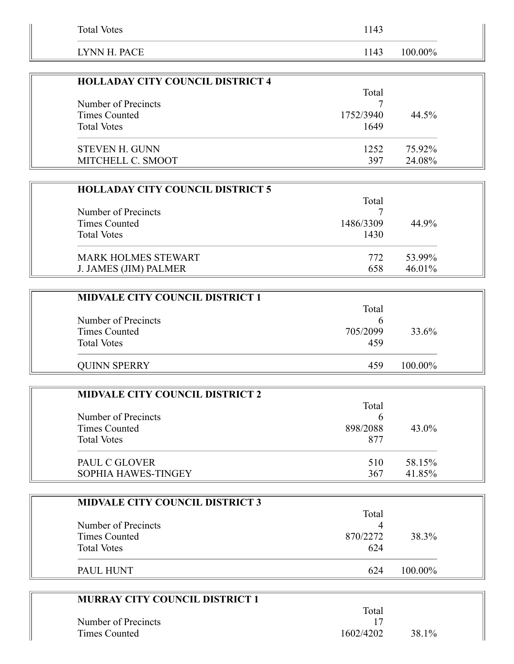| <b>Total Votes</b> | 1143            |  |
|--------------------|-----------------|--|
| LYNN H. PACE       | 100.00%<br>1143 |  |

| <b>HOLLADAY CITY COUNCIL DISTRICT 4</b> |           |        |
|-----------------------------------------|-----------|--------|
|                                         | Total     |        |
| Number of Precincts                     |           |        |
| Times Counted                           | 1752/3940 | 44.5%  |
| <b>Total Votes</b>                      | 1649      |        |
| <b>STEVEN H. GUNN</b>                   | 1252      | 75.92% |
| MITCHELL C. SMOOT                       | 397       | 24.08% |

| <b>HOLLADAY CITY COUNCIL DISTRICT 5</b> |           |           |
|-----------------------------------------|-----------|-----------|
|                                         | Total     |           |
| Number of Precincts                     |           |           |
| Times Counted                           | 1486/3309 | 44.9%     |
| <b>Total Votes</b>                      | 1430      |           |
| <b>MARK HOLMES STEWART</b>              | 772       | 53.99%    |
| J. JAMES (JIM) PALMER                   | 658       | $46.01\%$ |

| <b>MIDVALE CITY COUNCIL DISTRICT 1</b> |          |         |  |
|----------------------------------------|----------|---------|--|
|                                        | Total    |         |  |
| Number of Precincts                    |          |         |  |
| Times Counted                          | 705/2099 | 33.6%   |  |
| <b>Total Votes</b>                     | 459      |         |  |
| <b>QUINN SPERRY</b>                    | 459      | 100.00% |  |

| <b>MIDVALE CITY COUNCIL DISTRICT 2</b> |          |          |
|----------------------------------------|----------|----------|
|                                        | Total    |          |
| Number of Precincts                    | n        |          |
| Times Counted                          | 898/2088 | $43.0\%$ |
| <b>Total Votes</b>                     | 877      |          |
| PAUL C GLOVER                          | 510      | 58.15%   |
| SOPHIA HAWES-TINGEY                    | 367      | 41.85%   |

| <b>MIDVALE CITY COUNCIL DISTRICT 3</b> |          |         |
|----------------------------------------|----------|---------|
|                                        | Total    |         |
| Number of Precincts                    |          |         |
| Times Counted                          | 870/2272 | 38.3%   |
| <b>Total Votes</b>                     | 624      |         |
| PAUL HUNT                              | 624      | 100.00% |

| <b>MURRAY CITY COUNCIL DISTRICT 1</b> |           |       |  |
|---------------------------------------|-----------|-------|--|
|                                       | Total     |       |  |
| Number of Precincts                   |           |       |  |
| Times Counted                         | 1602/4202 | 38.1% |  |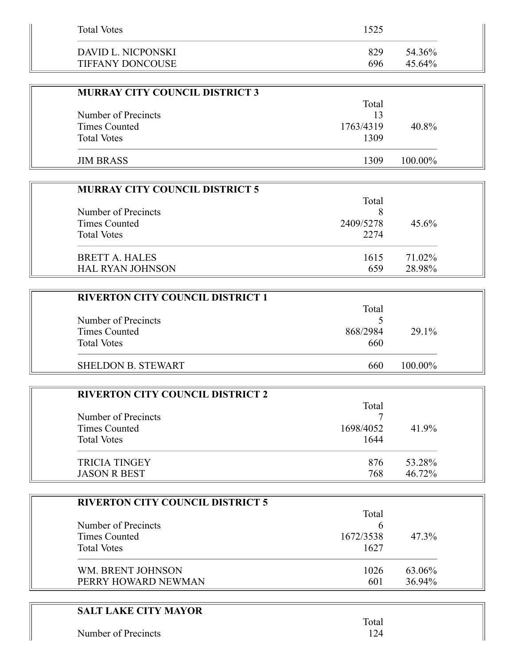| <b>Total Votes</b>      | 1525 |        |
|-------------------------|------|--------|
| DAVID L. NICPONSKI      | 829  | 54.36% |
| <b>TIFFANY DONCOUSE</b> | 696  | 45.64% |

| <b>MURRAY CITY COUNCIL DISTRICT 3</b> |           |            |  |
|---------------------------------------|-----------|------------|--|
|                                       | Total     |            |  |
| Number of Precincts                   | 13        |            |  |
| Times Counted                         | 1763/4319 | 40.8%      |  |
| <b>Total Votes</b>                    | 1309      |            |  |
|                                       |           |            |  |
| <b>JIM BRASS</b>                      | 1309      | $100.00\%$ |  |

| <b>MURRAY CITY COUNCIL DISTRICT 5</b> |           |          |
|---------------------------------------|-----------|----------|
|                                       | Total     |          |
| Number of Precincts                   |           |          |
| Times Counted                         | 2409/5278 | $45.6\%$ |
| <b>Total Votes</b>                    | 2274      |          |
| BRETT A. HALES                        | 1615      | 71.02%   |
| <b>HAL RYAN JOHNSON</b>               | 659       | 28.98%   |

Ξ

| <b>RIVERTON CITY COUNCIL DISTRICT 1</b> |          |         |
|-----------------------------------------|----------|---------|
|                                         | Total    |         |
| Number of Precincts                     |          |         |
| Times Counted                           | 868/2984 | 29.1%   |
| <b>Total Votes</b>                      | 660      |         |
| <b>SHELDON B. STEWART</b>               | 660      | 100.00% |

| <b>RIVERTON CITY COUNCIL DISTRICT 2</b> |           |        |
|-----------------------------------------|-----------|--------|
|                                         | Total     |        |
| Number of Precincts                     |           |        |
| Times Counted                           | 1698/4052 | 41.9%  |
| <b>Total Votes</b>                      | 1644      |        |
| <b>TRICIA TINGEY</b>                    | 876       | 53.28% |
| <b>JASON R BEST</b>                     | 768       | 46.72% |

| <b>RIVERTON CITY COUNCIL DISTRICT 5</b> |           |        |
|-----------------------------------------|-----------|--------|
|                                         | Total     |        |
| Number of Precincts                     | b         |        |
| Times Counted                           | 1672/3538 | 47.3%  |
| <b>Total Votes</b>                      | 1627      |        |
| WM. BRENT JOHNSON                       | 1026      | 63.06% |
| PERRY HOWARD NEWMAN                     | 601       | 36.94% |

| <b>SALT LAKE CITY MAYOR</b> |  |
|-----------------------------|--|
| Number of Precincts         |  |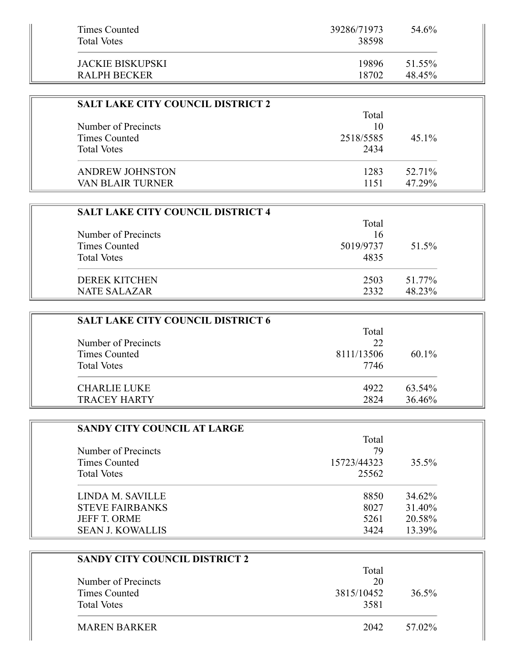| Times Counted<br><b>Total Votes</b> | 39286/71973<br>38598 | 54.6%  |
|-------------------------------------|----------------------|--------|
| JACKIE BISKUPSKI                    | 19896                | 51.55% |
| RALPH BECKER                        | 18702                | 48.45% |

| <b>SALT LAKE CITY COUNCIL DISTRICT 2</b> |           |          |
|------------------------------------------|-----------|----------|
|                                          | Total     |          |
| Number of Precincts                      | 10        |          |
| Times Counted                            | 2518/5585 | $45.1\%$ |
| <b>Total Votes</b>                       | 2434      |          |
| <b>ANDREW JOHNSTON</b>                   | 1283      | 52.71%   |
| <b>VAN BLAIR TURNER</b>                  | 1151      | 47.29%   |

| <b>SALT LAKE CITY COUNCIL DISTRICT 4</b> |           |        |
|------------------------------------------|-----------|--------|
|                                          | Total     |        |
| Number of Precincts                      | 16        |        |
| Times Counted                            | 5019/9737 | 51.5%  |
| <b>Total Votes</b>                       | 4835      |        |
| <b>DEREK KITCHEN</b>                     | 2503      | 51.77% |
| <b>NATE SALAZAR</b>                      | 2332      | 48.23% |

Ĩ.

| <b>SALT LAKE CITY COUNCIL DISTRICT 6</b> |            |          |
|------------------------------------------|------------|----------|
|                                          | Total      |          |
| Number of Precincts                      | 22         |          |
| Times Counted                            | 8111/13506 | $60.1\%$ |
| <b>Total Votes</b>                       | 7746       |          |
| <b>CHARLIE LUKE</b>                      | 4922       | 63.54%   |
| <b>TRACEY HARTY</b>                      | 2824       | 36.46%   |

| SANDY CITY COUNCIL AT LARGE |             |        |
|-----------------------------|-------------|--------|
|                             | Total       |        |
| Number of Precincts         | 79          |        |
| Times Counted               | 15723/44323 | 35.5%  |
| <b>Total Votes</b>          | 25562       |        |
| LINDA M. SAVILLE            | 8850        | 34.62% |
| <b>STEVE FAIRBANKS</b>      | 8027        | 31.40% |
| <b>JEFF T. ORME</b>         | 5261        | 20.58% |
| <b>SEAN J. KOWALLIS</b>     | 3424        | 13.39% |

| SANDY CITY COUNCIL DISTRICT 2 |            |          |
|-------------------------------|------------|----------|
|                               | Total      |          |
| Number of Precincts           | 20         |          |
| Times Counted                 | 3815/10452 | $36.5\%$ |
| <b>Total Votes</b>            | 3581       |          |
| <b>MAREN BARKER</b>           | 2042       | 57.02%   |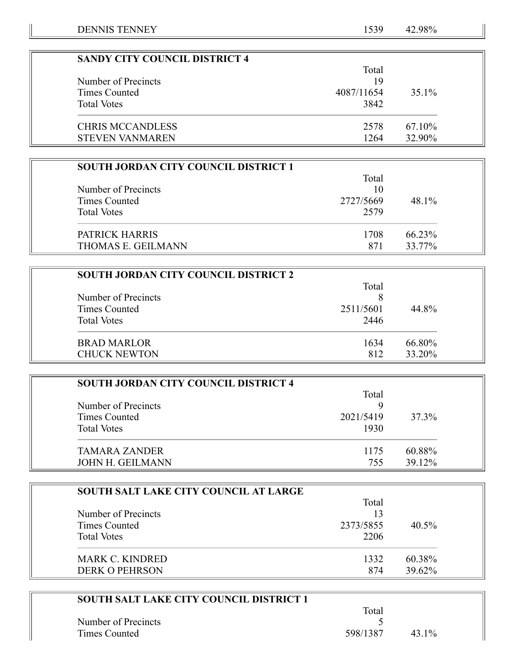=

| <b>SANDY CITY COUNCIL DISTRICT 4</b> |            |        |
|--------------------------------------|------------|--------|
|                                      | Total      |        |
| Number of Precincts                  | 19         |        |
| Times Counted                        | 4087/11654 | 35.1%  |
| <b>Total Votes</b>                   | 3842       |        |
| <b>CHRIS MCCANDLESS</b>              | 2578       | 67.10% |
| <b>STEVEN VANMAREN</b>               | 1264       | 32.90% |

| <b>SOUTH JORDAN CITY COUNCIL DISTRICT 1</b> |           |        |
|---------------------------------------------|-----------|--------|
|                                             | Total     |        |
| Number of Precincts                         | 10        |        |
| Times Counted                               | 2727/5669 | 48.1%  |
| <b>Total Votes</b>                          | 2579      |        |
| PATRICK HARRIS                              | 1708      | 66.23% |
| <b>THOMAS E. GEILMANN</b>                   | 871       | 33.77% |

| <b>SOUTH JORDAN CITY COUNCIL DISTRICT 2</b> |           |        |
|---------------------------------------------|-----------|--------|
|                                             | Total     |        |
| Number of Precincts                         |           |        |
| Times Counted                               | 2511/5601 | 44.8%  |
| <b>Total Votes</b>                          | 2446      |        |
| <b>BRAD MARLOR</b>                          | 1634      | 66.80% |
| <b>CHUCK NEWTON</b>                         | 812       | 33.20% |

| <b>SOUTH JORDAN CITY COUNCIL DISTRICT 4</b> |           |        |
|---------------------------------------------|-----------|--------|
|                                             | Total     |        |
| Number of Precincts                         |           |        |
| Times Counted                               | 2021/5419 | 37.3%  |
| <b>Total Votes</b>                          | 1930      |        |
| <b>TAMARA ZANDER</b>                        | 1175      | 60.88% |
| <b>JOHN H. GEILMANN</b>                     | 755       | 39.12% |

| <b>SOUTH SALT LAKE CITY COUNCIL AT LARGE</b> |           |          |
|----------------------------------------------|-----------|----------|
|                                              | Total     |          |
| Number of Precincts                          | 13        |          |
| Times Counted                                | 2373/5855 | $40.5\%$ |
| <b>Total Votes</b>                           | 2206      |          |
| <b>MARK C. KINDRED</b>                       | 1332      | 60.38%   |
| <b>DERK O PEHRSON</b>                        | 874       | 39.62%   |

| <b>SOUTH SALT LAKE CITY COUNCIL DISTRICT 1</b> |          |       |
|------------------------------------------------|----------|-------|
|                                                | Total    |       |
| Number of Precincts                            |          |       |
| Times Counted                                  | 598/1387 | 43.1% |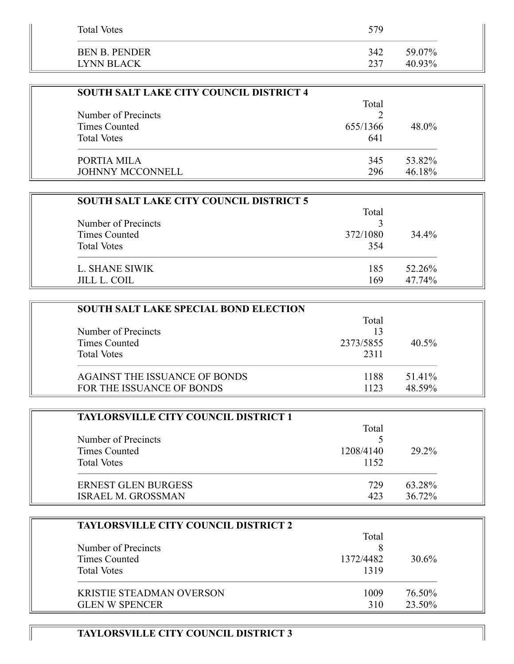| <b>Total Votes</b>                 | 579        |                  |
|------------------------------------|------------|------------------|
| <b>BEN B. PENDER</b><br>LYNN BLACK | 342<br>237 | 59.07%<br>40.93% |
|                                    |            |                  |

| <b>SOUTH SALT LAKE CITY COUNCIL DISTRICT 4</b> |          |        |  |
|------------------------------------------------|----------|--------|--|
|                                                | Total    |        |  |
| Number of Precincts                            |          |        |  |
| Times Counted                                  | 655/1366 | 48.0%  |  |
| <b>Total Votes</b>                             | 641      |        |  |
| PORTIA MILA                                    | 345      | 53.82% |  |
| <b>JOHNNY MCCONNELL</b>                        | 296      | 46.18% |  |

| <b>SOUTH SALT LAKE CITY COUNCIL DISTRICT 5</b> |          |        |
|------------------------------------------------|----------|--------|
|                                                | Total    |        |
| Number of Precincts                            |          |        |
| Times Counted                                  | 372/1080 | 34.4%  |
| <b>Total Votes</b>                             | 354      |        |
| L. SHANE SIWIK                                 | 185      | 52.26% |
| <b>JILL L. COIL</b>                            | 169      | 47.74% |

| <b>SOUTH SALT LAKE SPECIAL BOND ELECTION</b> |           |          |
|----------------------------------------------|-----------|----------|
|                                              | Total     |          |
| Number of Precincts                          | 13        |          |
| Times Counted                                | 2373/5855 | $40.5\%$ |
| <b>Total Votes</b>                           | 2311      |          |
| <b>AGAINST THE ISSUANCE OF BONDS</b>         | 1188      | 51.41%   |
| FOR THE ISSUANCE OF BONDS                    | 1123      | 48.59%   |

| <b>TAYLORSVILLE CITY COUNCIL DISTRICT 1</b> |           |        |  |
|---------------------------------------------|-----------|--------|--|
|                                             | Total     |        |  |
| Number of Precincts                         |           |        |  |
| Times Counted                               | 1208/4140 | 29.2%  |  |
| <b>Total Votes</b>                          | 1152      |        |  |
| <b>ERNEST GLEN BURGESS</b>                  | 729       | 63.28% |  |
| <b>ISRAEL M. GROSSMAN</b>                   | 423       | 36.72% |  |

|                                 | Total     |          |  |
|---------------------------------|-----------|----------|--|
| Number of Precincts             |           |          |  |
| Times Counted                   | 1372/4482 | $30.6\%$ |  |
| <b>Total Votes</b>              | 1319      |          |  |
| <b>KRISTIE STEADMAN OVERSON</b> | 1009      | 76.50%   |  |
| <b>GLEN W SPENCER</b>           | 310       | 23.50%   |  |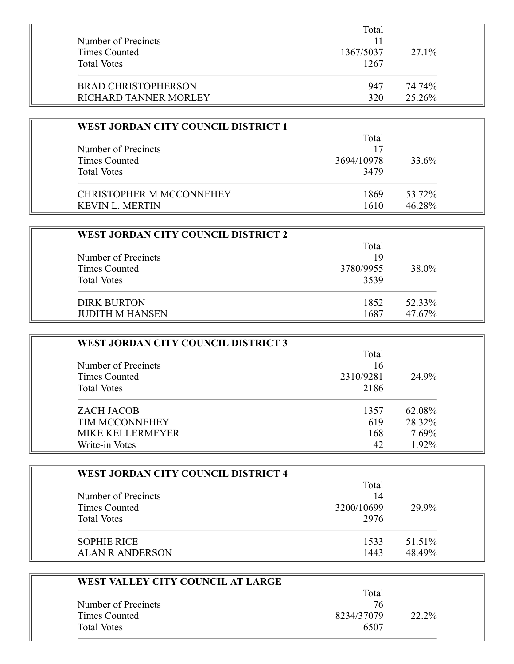|                                      | Total     |        |  |
|--------------------------------------|-----------|--------|--|
| Number of Precincts<br>Times Counted |           |        |  |
|                                      | 1367/5037 | 27.1%  |  |
| <b>Total Votes</b>                   | 1267      |        |  |
| <b>BRAD CHRISTOPHERSON</b>           | 947       | 74.74% |  |
| RICHARD TANNER MORLEY                | 320       | 25.26% |  |

| <b>WEST JORDAN CITY COUNCIL DISTRICT 1</b> |            |        |
|--------------------------------------------|------------|--------|
|                                            | Total      |        |
| Number of Precincts                        | 17         |        |
| Times Counted                              | 3694/10978 | 33.6%  |
| <b>Total Votes</b>                         | 3479       |        |
| CHRISTOPHER M MCCONNEHEY                   | 1869       | 53.72% |
| <b>KEVIN L. MERTIN</b>                     | 1610       | 46.28% |

| WEST JORDAN CITY COUNCIL DISTRICT 2 |           |        |
|-------------------------------------|-----------|--------|
|                                     | Total     |        |
| Number of Precincts                 | 19        |        |
| Times Counted                       | 3780/9955 | 38.0%  |
| <b>Total Votes</b>                  | 3539      |        |
| <b>DIRK BURTON</b>                  | 1852      | 52.33% |
| <b>JUDITH M HANSEN</b>              | 1687      | 47.67% |

| WEST JORDAN CITY COUNCIL DISTRICT 3 |           |        |  |
|-------------------------------------|-----------|--------|--|
|                                     | Total     |        |  |
| Number of Precincts                 | 16        |        |  |
| Times Counted                       | 2310/9281 | 24.9%  |  |
| <b>Total Votes</b>                  | 2186      |        |  |
| <b>ZACH JACOB</b>                   | 1357      | 62.08% |  |
| <b>TIM MCCONNEHEY</b>               | 619       | 28.32% |  |
| <b>MIKE KELLERMEYER</b>             | 168       | 7.69%  |  |
| Write-in Votes                      | 42        | 1.92%  |  |

| <b>WEST JORDAN CITY COUNCIL DISTRICT 4</b> |             |        |  |
|--------------------------------------------|-------------|--------|--|
| Number of Precincts                        | Total<br>14 |        |  |
| <b>Times Counted</b>                       | 3200/10699  | 29.9%  |  |
| <b>Total Votes</b>                         | 2976        |        |  |
| <b>SOPHIE RICE</b>                         | 1533        | 51.51% |  |
| <b>ALAN R ANDERSON</b>                     | 1443        | 48.49% |  |

| WEST VALLEY CITY COUNCIL AT LARGE |            |       |  |
|-----------------------------------|------------|-------|--|
|                                   | Total      |       |  |
| Number of Precincts               | 76         |       |  |
| Times Counted                     | 8234/37079 | 22.2% |  |
| <b>Total Votes</b>                | 6507       |       |  |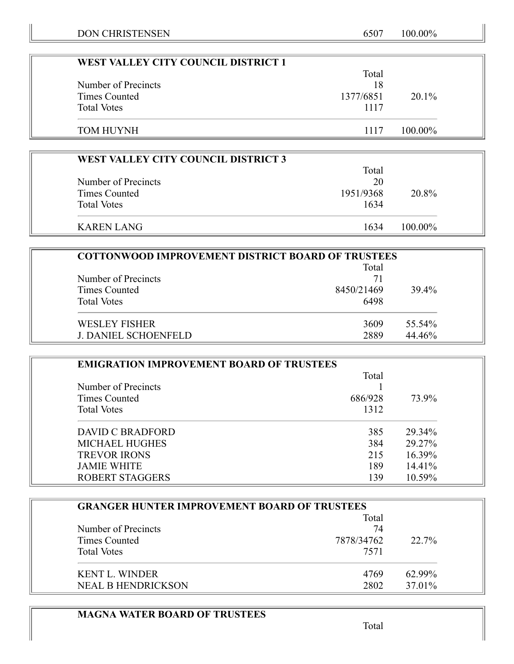| WEST VALLEY CITY COUNCIL DISTRICT 1 |           |            |  |
|-------------------------------------|-----------|------------|--|
|                                     | Total     |            |  |
| Number of Precincts                 | 18        |            |  |
| Times Counted                       | 1377/6851 | $20.1\%$   |  |
| <b>Total Votes</b>                  | 1117      |            |  |
|                                     |           |            |  |
| TOM HUYNH                           | 1117      | $100.00\%$ |  |

| <b>WEST VALLEY CITY COUNCIL DISTRICT 3</b> |           |            |  |
|--------------------------------------------|-----------|------------|--|
|                                            | Total     |            |  |
| Number of Precincts                        | 20        |            |  |
| Times Counted                              | 1951/9368 | 20.8%      |  |
| <b>Total Votes</b>                         | 1634      |            |  |
| KAREN LANG                                 | 1634      | $100.00\%$ |  |

| <b>COTTONWOOD IMPROVEMENT DISTRICT BOARD OF TRUSTEES</b> |            |        |  |
|----------------------------------------------------------|------------|--------|--|
|                                                          | Total      |        |  |
| Number of Precincts                                      | 71         |        |  |
| Times Counted                                            | 8450/21469 | 39.4%  |  |
| <b>Total Votes</b>                                       | 6498       |        |  |
| <b>WESLEY FISHER</b>                                     | 3609       | 55.54% |  |
| <b>J. DANIEL SCHOENFELD</b>                              | 2889       | 44.46% |  |

| <b>EMIGRATION IMPROVEMENT BOARD OF TRUSTEES</b> |         |        |  |
|-------------------------------------------------|---------|--------|--|
|                                                 | Total   |        |  |
| Number of Precincts                             |         |        |  |
| Times Counted                                   | 686/928 | 73.9%  |  |
| <b>Total Votes</b>                              | 1312    |        |  |
| DAVID C BRADFORD                                | 385     | 29.34% |  |
| <b>MICHAEL HUGHES</b>                           | 384     | 29.27% |  |
| <b>TREVOR IRONS</b>                             | 215     | 16.39% |  |
| <b>JAMIE WHITE</b>                              | 189     | 14.41% |  |
| <b>ROBERT STAGGERS</b>                          | 139     | 10.59% |  |

| <b>GRANGER HUNTER IMPROVEMENT BOARD OF TRUSTEES</b> |            |          |
|-----------------------------------------------------|------------|----------|
|                                                     | Total      |          |
| Number of Precincts                                 | 74         |          |
| Times Counted                                       | 7878/34762 | $22.7\%$ |
| <b>Total Votes</b>                                  | 7571       |          |
| <b>KENT L. WINDER</b>                               | 4769       | 62.99%   |
| <b>NEAL B HENDRICKSON</b>                           | 2802       | 37.01%   |

# **MAGNA WATER BOARD OF TRUSTEES**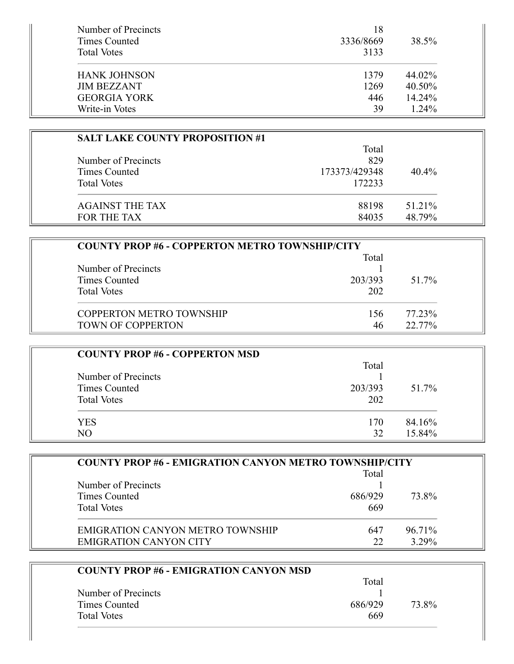| Number of Precincts<br>Times Counted<br><b>Total Votes</b> | 18<br>3336/8669<br>3133 | 38.5%     |
|------------------------------------------------------------|-------------------------|-----------|
| <b>HANK JOHNSON</b>                                        | 1379                    | 44.02%    |
| <b>JIM BEZZANT</b>                                         | 1269                    | 40.50%    |
| <b>GEORGIA YORK</b>                                        | 446                     | $14.24\%$ |
| Write-in Votes                                             | 39                      | $1.24\%$  |

| <b>SALT LAKE COUNTY PROPOSITION #1</b> |               |        |
|----------------------------------------|---------------|--------|
|                                        | Total         |        |
| Number of Precincts                    | 829           |        |
| Times Counted                          | 173373/429348 | 40.4%  |
| <b>Total Votes</b>                     | 172233        |        |
| <b>AGAINST THE TAX</b>                 | 88198         | 51.21% |
| FOR THE TAX                            | 84035         | 48.79% |

| <b>COUNTY PROP #6 - COPPERTON METRO TOWNSHIP/CITY</b> |         |           |
|-------------------------------------------------------|---------|-----------|
|                                                       | Total   |           |
| Number of Precincts                                   |         |           |
| Times Counted                                         | 203/393 | 51.7%     |
| <b>Total Votes</b>                                    | 202     |           |
| <b>COPPERTON METRO TOWNSHIP</b>                       | 156     | 77.23%    |
| <b>TOWN OF COPPERTON</b>                              | 46      | $22.77\%$ |

| <b>COUNTY PROP #6 - COPPERTON MSD</b> |         |        |
|---------------------------------------|---------|--------|
|                                       | Total   |        |
| Number of Precincts                   |         |        |
| Times Counted                         | 203/393 | 51.7%  |
| <b>Total Votes</b>                    | 202     |        |
| <b>YES</b>                            | 170     | 84.16% |
| NO                                    | 32      | 15.84% |

| <b>COUNTY PROP #6 - EMIGRATION CANYON METRO TOWNSHIP/CITY</b> |         |          |  |
|---------------------------------------------------------------|---------|----------|--|
|                                                               | Total   |          |  |
| Number of Precincts                                           |         |          |  |
| Times Counted                                                 | 686/929 | 73.8%    |  |
| <b>Total Votes</b>                                            | 669     |          |  |
| EMIGRATION CANYON METRO TOWNSHIP                              | 647     | 96.71%   |  |
| <b>EMIGRATION CANYON CITY</b>                                 | 22      | $3.29\%$ |  |

| <b>COUNTY PROP #6 - EMIGRATION CANYON MSD</b> |                  |
|-----------------------------------------------|------------------|
|                                               | Total            |
| Number of Precincts                           |                  |
| Times Counted                                 | 73.8%<br>686/929 |
| <b>Total Votes</b>                            | 669              |

I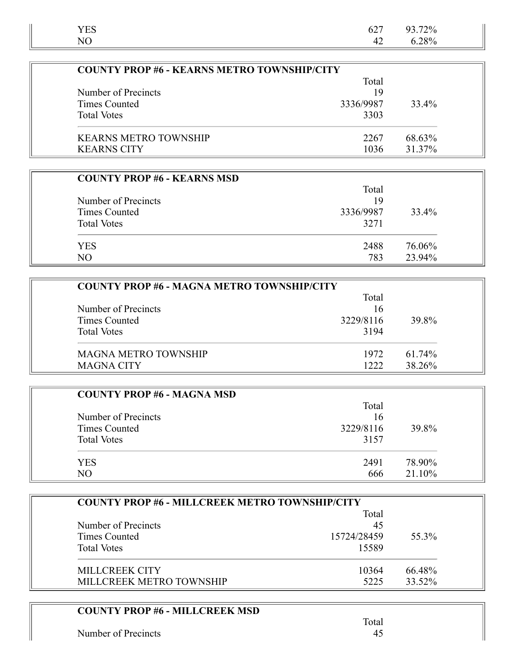| <b>YES</b>     | 627 93.72% |  |
|----------------|------------|--|
| N <sub>O</sub> | 42 6.28%   |  |

| <b>COUNTY PROP #6 - KEARNS METRO TOWNSHIP/CITY</b> |           |        |
|----------------------------------------------------|-----------|--------|
| Total                                              |           |        |
| Number of Precincts                                | 19        |        |
| Times Counted                                      | 3336/9987 | 33.4%  |
| <b>Total Votes</b>                                 | 3303      |        |
| <b>KEARNS METRO TOWNSHIP</b>                       | 2267      | 68.63% |
| <b>KEARNS CITY</b>                                 | 1036      | 31.37% |

| <b>COUNTY PROP #6 - KEARNS MSD</b> |           |        |
|------------------------------------|-----------|--------|
|                                    | Total     |        |
| Number of Precincts                | 19        |        |
| Times Counted                      | 3336/9987 | 33.4%  |
| <b>Total Votes</b>                 | 3271      |        |
| <b>YES</b>                         | 2488      | 76.06% |
| N <sub>O</sub>                     | 783       | 23.94% |

| <b>COUNTY PROP #6 - MAGNA METRO TOWNSHIP/CITY</b> |           |        |  |
|---------------------------------------------------|-----------|--------|--|
|                                                   | Total     |        |  |
| Number of Precincts                               | 16        |        |  |
| Times Counted                                     | 3229/8116 | 39.8%  |  |
| <b>Total Votes</b>                                | 3194      |        |  |
| <b>MAGNA METRO TOWNSHIP</b>                       | 1972      | 61.74% |  |
| <b>MAGNA CITY</b>                                 | 1222      | 38.26% |  |

| <b>COUNTY PROP #6 - MAGNA MSD</b> |           |        |
|-----------------------------------|-----------|--------|
|                                   | Total     |        |
| Number of Precincts               | 16        |        |
| Times Counted                     | 3229/8116 | 39.8%  |
| <b>Total Votes</b>                | 3157      |        |
| <b>YES</b>                        | 2491      | 78.90% |
| NO                                | 666       | 21.10% |

| <b>COUNTY PROP #6 - MILLCREEK METRO TOWNSHIP/CITY</b> |             |        |
|-------------------------------------------------------|-------------|--------|
|                                                       | Total       |        |
| Number of Precincts                                   | 45          |        |
| Times Counted                                         | 15724/28459 | 55.3%  |
| <b>Total Votes</b>                                    | 15589       |        |
| MILLCREEK CITY                                        | 10364       | 66.48% |
| MILLCREEK METRO TOWNSHIP                              | 5225        | 33.52% |

### **COUNTY PROP #6 - MILLCREEK MSD**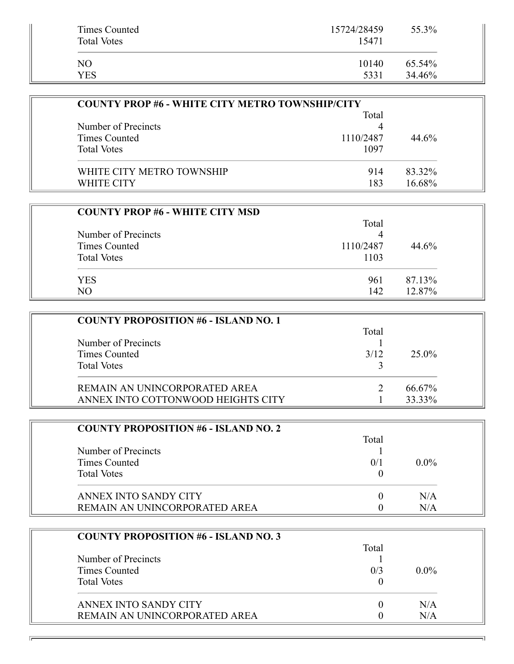| Times Counted<br><b>Total Votes</b> | 15724/28459<br>15471 | 55.3%  |
|-------------------------------------|----------------------|--------|
| NO                                  | 10140                | 65.54% |
| YES                                 | 5331                 | 34.46% |

| <b>COUNTY PROP #6 - WHITE CITY METRO TOWNSHIP/CITY</b> |           |        |
|--------------------------------------------------------|-----------|--------|
|                                                        | Total     |        |
| Number of Precincts                                    |           |        |
| Times Counted                                          | 1110/2487 | 44.6%  |
| <b>Total Votes</b>                                     | 1097      |        |
| WHITE CITY METRO TOWNSHIP                              | 914       | 83.32% |
| <b>WHITE CITY</b>                                      | 183       | 16.68% |

| <b>COUNTY PROP #6 - WHITE CITY MSD</b> |           |        |
|----------------------------------------|-----------|--------|
|                                        | Total     |        |
| Number of Precincts                    |           |        |
| Times Counted                          | 1110/2487 | 44.6%  |
| <b>Total Votes</b>                     | 1103      |        |
| <b>YES</b>                             | 961       | 87.13% |
| N <sub>O</sub>                         | 142       | 12.87% |

| <b>COUNTY PROPOSITION #6 - ISLAND NO. 1</b> |       |        |
|---------------------------------------------|-------|--------|
|                                             | Total |        |
| Number of Precincts                         |       |        |
| Times Counted                               | 3/12  | 25.0%  |
| <b>Total Votes</b>                          |       |        |
| REMAIN AN UNINCORPORATED AREA               |       | 66.67% |
| ANNEX INTO COTTONWOOD HEIGHTS CITY          |       | 33.33% |

| <b>COUNTY PROPOSITION #6 - ISLAND NO. 2</b> |       |         |
|---------------------------------------------|-------|---------|
|                                             | Total |         |
| Number of Precincts                         |       |         |
| Times Counted                               | 0/1   | $0.0\%$ |
| <b>Total Votes</b>                          |       |         |
| ANNEX INTO SANDY CITY                       |       | N/A     |
| REMAIN AN UNINCORPORATED AREA               |       | N/A     |

| <b>COUNTY PROPOSITION #6 - ISLAND NO. 3</b> |       |         |
|---------------------------------------------|-------|---------|
|                                             | Total |         |
| Number of Precincts                         |       |         |
| Times Counted                               | 0/3   | $0.0\%$ |
| <b>Total Votes</b>                          |       |         |
| ANNEX INTO SANDY CITY                       |       | N/A     |
| REMAIN AN UNINCORPORATED AREA               |       | N/A     |

न।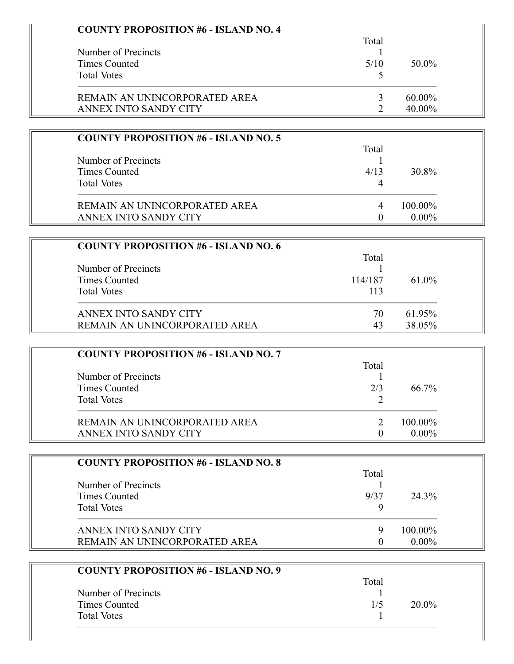| <b>COUNTY PROPOSITION #6 - ISLAND NO. 4</b> |                |          |
|---------------------------------------------|----------------|----------|
| Number of Precincts                         | Total<br>1     |          |
| <b>Times Counted</b>                        | 5/10           | 50.0%    |
| <b>Total Votes</b>                          | 5              |          |
|                                             |                |          |
| REMAIN AN UNINCORPORATED AREA               | 3              | 60.00%   |
| ANNEX INTO SANDY CITY                       | $\overline{2}$ | 40.00%   |
| <b>COUNTY PROPOSITION #6 - ISLAND NO. 5</b> |                |          |
|                                             | Total          |          |
| Number of Precincts                         | 1              |          |
| <b>Times Counted</b>                        | 4/13           | 30.8%    |
| <b>Total Votes</b>                          | 4              |          |
| REMAIN AN UNINCORPORATED AREA               | 4              | 100.00%  |
| ANNEX INTO SANDY CITY                       | $\mathbf{0}$   | $0.00\%$ |
|                                             |                |          |
| <b>COUNTY PROPOSITION #6 - ISLAND NO. 6</b> | Total          |          |
| Number of Precincts                         |                |          |
| <b>Times Counted</b>                        | 114/187        | 61.0%    |
| <b>Total Votes</b>                          | 113            |          |
|                                             |                |          |
| ANNEX INTO SANDY CITY                       | 70             | 61.95%   |
| REMAIN AN UNINCORPORATED AREA               | 43             | 38.05%   |
| <b>COUNTY PROPOSITION #6 - ISLAND NO. 7</b> |                |          |
|                                             | Total          |          |
| Number of Precincts                         | 1              |          |
| <b>Times Counted</b>                        | 2/3            | 66.7%    |
| <b>Total Votes</b>                          | 2              |          |
| REMAIN AN UNINCORPORATED AREA               | $\overline{2}$ | 100.00%  |
| ANNEX INTO SANDY CITY                       | $\mathbf{0}$   | $0.00\%$ |
|                                             |                |          |
| <b>COUNTY PROPOSITION #6 - ISLAND NO. 8</b> | Total          |          |
| Number of Precincts                         |                |          |
| <b>Times Counted</b>                        | 9/37           | 24.3%    |
| <b>Total Votes</b>                          | 9              |          |
| ANNEX INTO SANDY CITY                       | 9              | 100.00%  |
| REMAIN AN UNINCORPORATED AREA               | $\overline{0}$ | $0.00\%$ |
|                                             |                |          |
| <b>COUNTY PROPOSITION #6 - ISLAND NO. 9</b> | Total          |          |
| Number of Precincts                         | 1              |          |
| <b>Times Counted</b>                        | 1/5            | 20.0%    |
|                                             |                |          |

Times Counted 1/5 20.0%<br>Total Votes 1

Total Votes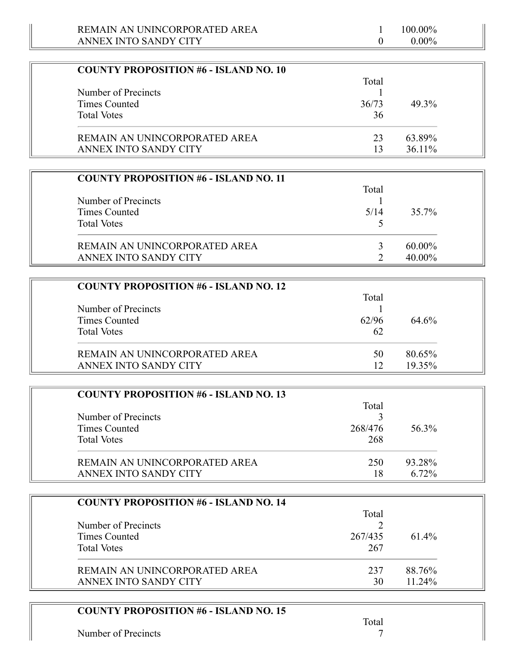| <b>COUNTY PROPOSITION #6 - ISLAND NO. 10</b> |       |           |
|----------------------------------------------|-------|-----------|
|                                              | Total |           |
| Number of Precincts                          |       |           |
| Times Counted                                | 36/73 | 49.3%     |
| <b>Total Votes</b>                           | 36    |           |
| REMAIN AN UNINCORPORATED AREA                | 23    | 63.89%    |
| ANNEX INTO SANDY CITY                        | 13    | $36.11\%$ |

| <b>COUNTY PROPOSITION #6 - ISLAND NO. 11</b> |       |           |
|----------------------------------------------|-------|-----------|
|                                              | Total |           |
| Number of Precincts                          |       |           |
| Times Counted                                | 5/14  | 35.7%     |
| <b>Total Votes</b>                           |       |           |
| REMAIN AN UNINCORPORATED AREA                |       | 60.00%    |
| ANNEX INTO SANDY CITY                        |       | $40.00\%$ |

| <b>COUNTY PROPOSITION #6 - ISLAND NO. 12</b> |       |        |
|----------------------------------------------|-------|--------|
|                                              | Total |        |
| Number of Precincts                          |       |        |
| Times Counted                                | 62/96 | 64.6%  |
| <b>Total Votes</b>                           | 62    |        |
| REMAIN AN UNINCORPORATED AREA                | 50    | 80.65% |
| ANNEX INTO SANDY CITY                        | 12    | 19.35% |

| <b>COUNTY PROPOSITION #6 - ISLAND NO. 13</b> |         |          |
|----------------------------------------------|---------|----------|
|                                              | Total   |          |
| Number of Precincts                          |         |          |
| Times Counted                                | 268/476 | 56.3%    |
| <b>Total Votes</b>                           | 268     |          |
| REMAIN AN UNINCORPORATED AREA                | 250     | 93.28%   |
| ANNEX INTO SANDY CITY                        | 18      | $6.72\%$ |

| <b>COUNTY PROPOSITION #6 - ISLAND NO. 14</b> |         |           |
|----------------------------------------------|---------|-----------|
|                                              | Total   |           |
| Number of Precincts                          |         |           |
| Times Counted                                | 267/435 | $61.4\%$  |
| <b>Total Votes</b>                           | 267     |           |
| REMAIN AN UNINCORPORATED AREA                | 237     | 88.76%    |
| ANNEX INTO SANDY CITY                        | 30      | $11.24\%$ |

## **COUNTY PROPOSITION #6 - ISLAND NO. 15**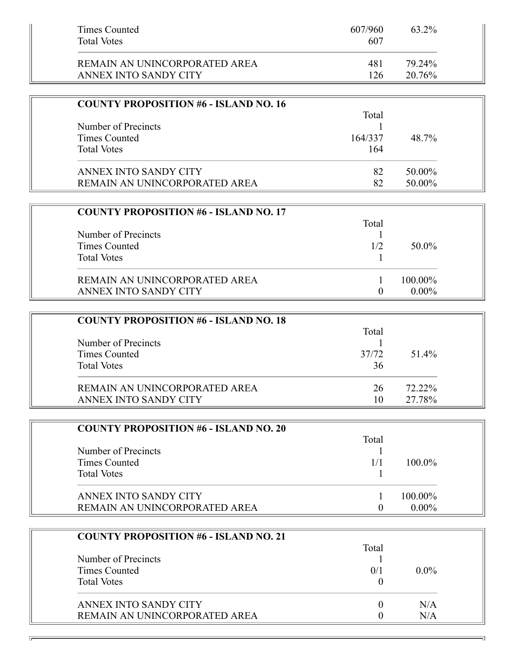| Times Counted<br><b>Total Votes</b> | 607/960<br>607 | 63.2%  |  |
|-------------------------------------|----------------|--------|--|
| REMAIN AN UNINCORPORATED AREA       | 481            | 79.24% |  |
| ANNEX INTO SANDY CITY               | 126            | 20.76% |  |

| <b>COUNTY PROPOSITION #6 - ISLAND NO. 16</b> |         |        |
|----------------------------------------------|---------|--------|
|                                              | Total   |        |
| Number of Precincts                          |         |        |
| Times Counted                                | 164/337 | 48.7%  |
| <b>Total Votes</b>                           | 164     |        |
| ANNEX INTO SANDY CITY                        | 82      | 50.00% |
| REMAIN AN UNINCORPORATED AREA                | 82      | 50.00% |

| <b>COUNTY PROPOSITION #6 - ISLAND NO. 17</b> |       |          |
|----------------------------------------------|-------|----------|
|                                              | Total |          |
| Number of Precincts                          |       |          |
| Times Counted                                | 1/2   | 50.0%    |
| <b>Total Votes</b>                           |       |          |
| REMAIN AN UNINCORPORATED AREA                |       | 100.00%  |
| ANNEX INTO SANDY CITY                        |       | $0.00\%$ |

| <b>COUNTY PROPOSITION #6 - ISLAND NO. 18</b> |       |           |
|----------------------------------------------|-------|-----------|
|                                              | Total |           |
| Number of Precincts                          |       |           |
| Times Counted                                | 37/72 | 51.4%     |
| <b>Total Votes</b>                           | 36    |           |
| REMAIN AN UNINCORPORATED AREA                | 26    | $72.22\%$ |
| ANNEX INTO SANDY CITY                        | 10    | 27.78%    |

| <b>COUNTY PROPOSITION #6 - ISLAND NO. 20</b> |       |           |
|----------------------------------------------|-------|-----------|
|                                              | Total |           |
| Number of Precincts                          |       |           |
| Times Counted                                | 1/1   | $100.0\%$ |
| <b>Total Votes</b>                           |       |           |
| ANNEX INTO SANDY CITY                        |       | 100.00%   |
| REMAIN AN UNINCORPORATED AREA                |       | $0.00\%$  |

| <b>COUNTY PROPOSITION #6 - ISLAND NO. 21</b> |       |         |
|----------------------------------------------|-------|---------|
|                                              | Total |         |
| Number of Precincts                          |       |         |
| Times Counted                                | 0/1   | $0.0\%$ |
| <b>Total Votes</b>                           |       |         |
| ANNEX INTO SANDY CITY                        |       | N/A     |
| REMAIN AN UNINCORPORATED AREA                |       | N/A     |

ᅱ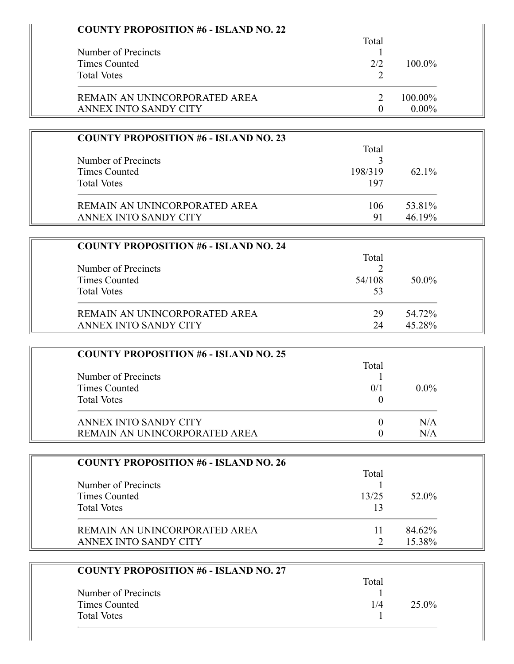| <b>COUNTY PROPOSITION #6 - ISLAND NO. 22</b> | Total          |          |  |
|----------------------------------------------|----------------|----------|--|
| Number of Precincts                          | $\perp$        |          |  |
| <b>Times Counted</b>                         | 2/2            | 100.0%   |  |
| <b>Total Votes</b>                           | 2              |          |  |
| REMAIN AN UNINCORPORATED AREA                | $\overline{2}$ | 100.00%  |  |
| ANNEX INTO SANDY CITY                        | $\theta$       | $0.00\%$ |  |
| <b>COUNTY PROPOSITION #6 - ISLAND NO. 23</b> |                |          |  |
|                                              | Total          |          |  |
| Number of Precincts                          | 3              |          |  |
| <b>Times Counted</b>                         | 198/319        | 62.1%    |  |
| <b>Total Votes</b>                           | 197            |          |  |
| REMAIN AN UNINCORPORATED AREA                | 106            | 53.81%   |  |
| ANNEX INTO SANDY CITY                        | 91             | 46.19%   |  |
| <b>COUNTY PROPOSITION #6 - ISLAND NO. 24</b> |                |          |  |
|                                              | Total          |          |  |
| Number of Precincts                          | $\overline{2}$ |          |  |
| <b>Times Counted</b>                         | 54/108         | 50.0%    |  |
| <b>Total Votes</b>                           | 53             |          |  |
| REMAIN AN UNINCORPORATED AREA                | 29             | 54.72%   |  |
| ANNEX INTO SANDY CITY                        | 24             | 45.28%   |  |
|                                              |                |          |  |
| <b>COUNTY PROPOSITION #6 - ISLAND NO. 25</b> | Total          |          |  |
| Number of Precincts                          |                |          |  |
| <b>Times Counted</b>                         | 0/1            | $0.0\%$  |  |
| <b>Total Votes</b>                           | $\overline{0}$ |          |  |
| ANNEX INTO SANDY CITY                        | $\theta$       | N/A      |  |
| REMAIN AN UNINCORPORATED AREA                | $\overline{0}$ | N/A      |  |
|                                              |                |          |  |
| <b>COUNTY PROPOSITION #6 - ISLAND NO. 26</b> | Total          |          |  |
| Number of Precincts                          | 1              |          |  |
| <b>Times Counted</b>                         | 13/25          | 52.0%    |  |
| <b>Total Votes</b>                           | 13             |          |  |
| REMAIN AN UNINCORPORATED AREA                | 11             | 84.62%   |  |
| ANNEX INTO SANDY CITY                        | 2              | 15.38%   |  |
| <b>COUNTY PROPOSITION #6 - ISLAND NO. 27</b> |                |          |  |
|                                              | Total          |          |  |
| Number of Precincts                          | 1              |          |  |
| <b>Times Counted</b>                         | 1/4            | 25.0%    |  |
| <b>Total Votes</b>                           | 1              |          |  |
|                                              |                |          |  |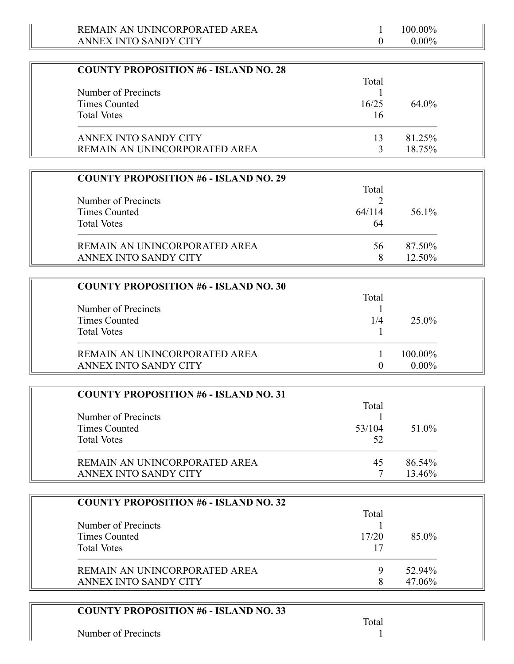| <b>COUNTY PROPOSITION #6 - ISLAND NO. 28</b> |       |          |
|----------------------------------------------|-------|----------|
|                                              | Total |          |
| Number of Precincts                          |       |          |
| Times Counted                                | 16/25 | $64.0\%$ |
| <b>Total Votes</b>                           | 16    |          |
| ANNEX INTO SANDY CITY                        | 13    | 81.25%   |
| REMAIN AN UNINCORPORATED AREA                |       | 18.75%   |

| <b>COUNTY PROPOSITION #6 - ISLAND NO. 29</b> |        |        |
|----------------------------------------------|--------|--------|
|                                              | Total  |        |
| Number of Precincts<br>Times Counted         | 64/114 | 56.1%  |
| <b>Total Votes</b>                           | 64     |        |
| REMAIN AN UNINCORPORATED AREA                | 56     | 87.50% |
| ANNEX INTO SANDY CITY                        |        | 12.50% |

| <b>COUNTY PROPOSITION #6 - ISLAND NO. 30</b> |       |          |
|----------------------------------------------|-------|----------|
|                                              | Total |          |
| Number of Precincts                          |       |          |
| Times Counted                                | 1/4   | 25.0%    |
| <b>Total Votes</b>                           |       |          |
| REMAIN AN UNINCORPORATED AREA                |       | 100.00%  |
| ANNEX INTO SANDY CITY                        |       | $0.00\%$ |

| <b>COUNTY PROPOSITION #6 - ISLAND NO. 31</b><br>Number of Precincts<br>Times Counted<br><b>Total Votes</b> | Total<br>53/104<br>52 | 51.0%            |
|------------------------------------------------------------------------------------------------------------|-----------------------|------------------|
| REMAIN AN UNINCORPORATED AREA<br>ANNEX INTO SANDY CITY                                                     | 45                    | 86.54%<br>13.46% |

| <b>COUNTY PROPOSITION #6 - ISLAND NO. 32</b> |       |           |
|----------------------------------------------|-------|-----------|
|                                              | Total |           |
| Number of Precincts                          |       |           |
| Times Counted                                | 17/20 | 85.0%     |
| <b>Total Votes</b>                           | 17    |           |
| REMAIN AN UNINCORPORATED AREA                | Q     | $52.94\%$ |
| ANNEX INTO SANDY CITY                        | 8     | 47.06%    |

## **COUNTY PROPOSITION #6 - ISLAND NO. 33**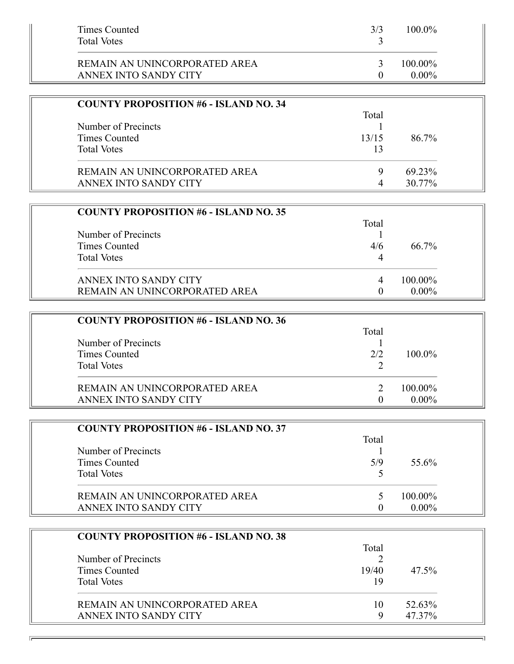| Times Counted<br><b>Total Votes</b> | 3/3 | $100.0\%$  |  |
|-------------------------------------|-----|------------|--|
| REMAIN AN UNINCORPORATED AREA       |     | $100.00\%$ |  |
| ANNEX INTO SANDY CITY               |     | $0.00\%$   |  |

| <b>COUNTY PROPOSITION #6 - ISLAND NO. 34</b> |       |        |
|----------------------------------------------|-------|--------|
|                                              | Total |        |
| Number of Precincts                          |       |        |
| Times Counted                                | 13/15 | 86.7%  |
| <b>Total Votes</b>                           | 13    |        |
| REMAIN AN UNINCORPORATED AREA                | Q     | 69.23% |
| ANNEX INTO SANDY CITY                        |       | 30.77% |

| <b>COUNTY PROPOSITION #6 - ISLAND NO. 35</b> |       |          |
|----------------------------------------------|-------|----------|
|                                              | Total |          |
| Number of Precincts                          |       |          |
| Times Counted                                | 4/6   | 66.7%    |
| <b>Total Votes</b>                           | 4     |          |
| ANNEX INTO SANDY CITY                        | 4     | 100.00%  |
| REMAIN AN UNINCORPORATED AREA                |       | $0.00\%$ |

| <b>COUNTY PROPOSITION #6 - ISLAND NO. 36</b> |       |           |
|----------------------------------------------|-------|-----------|
| Number of Precincts                          | Total |           |
| Times Counted                                | 2/2   | $100.0\%$ |
| <b>Total Votes</b>                           |       |           |
| REMAIN AN UNINCORPORATED AREA                |       | 100.00%   |
| ANNEX INTO SANDY CITY                        |       | $0.00\%$  |

| <b>COUNTY PROPOSITION #6 - ISLAND NO. 37</b> |       |          |
|----------------------------------------------|-------|----------|
|                                              | Total |          |
| Number of Precincts                          |       |          |
| Times Counted                                | 5/9   | 55.6%    |
| <b>Total Votes</b>                           |       |          |
| REMAIN AN UNINCORPORATED AREA                |       | 100.00%  |
| ANNEX INTO SANDY CITY                        |       | $0.00\%$ |

| <b>COUNTY PROPOSITION #6 - ISLAND NO. 38</b> |       |        |
|----------------------------------------------|-------|--------|
|                                              | Total |        |
| Number of Precincts                          |       |        |
| Times Counted                                | 19/40 | 47.5%  |
| <b>Total Votes</b>                           | 19    |        |
| REMAIN AN UNINCORPORATED AREA                | 10    | 52.63% |
| ANNEX INTO SANDY CITY                        | Q     | 47.37% |

ᅱ